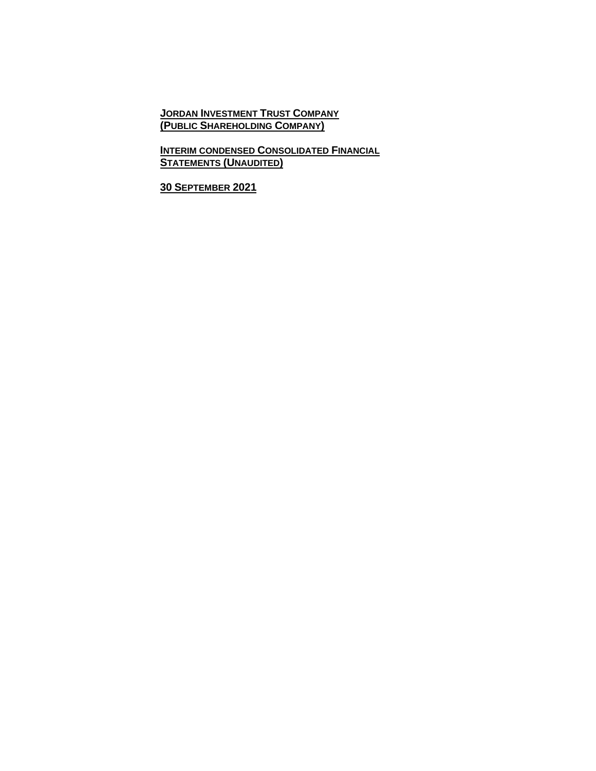**JORDAN INVESTMENT TRUST COMPANY (PUBLIC SHAREHOLDING COMPANY)**

**INTERIM CONDENSED CONSOLIDATED FINANCIAL STATEMENTS (UNAUDITED)**

**30 SEPTEMBER 2021**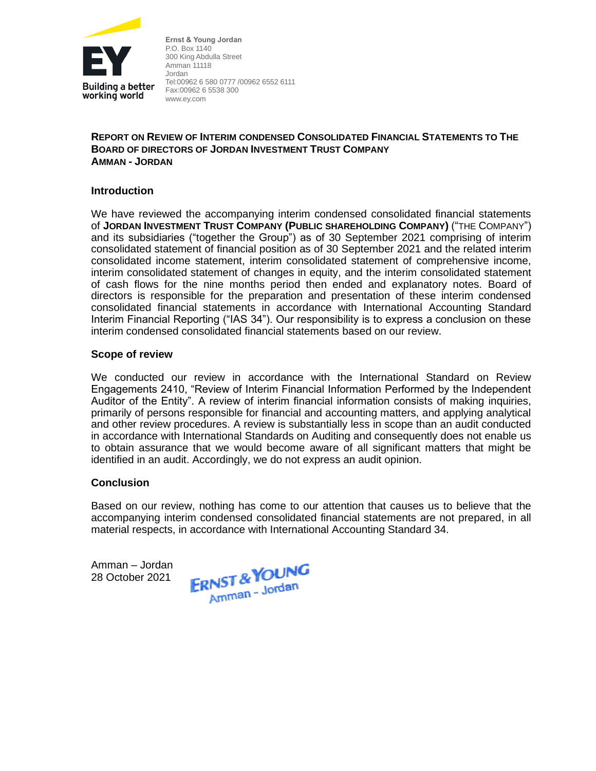

**Ernst & Young Jordan** P.O. Box 1140 300 King Abdulla Street Amman 11118 Jordan Tel:00962 6 580 0777 /00962 6552 6111 Fax:00962 6 5538 300 www.ey.com

## **REPORT ON REVIEW OF INTERIM CONDENSED CONSOLIDATED FINANCIAL STATEMENTS TO THE BOARD OF DIRECTORS OF JORDAN INVESTMENT TRUST COMPANY AMMAN - JORDAN**

## **Introduction**

We have reviewed the accompanying interim condensed consolidated financial statements of **JORDAN INVESTMENT TRUST COMPANY (PUBLIC SHAREHOLDING COMPANY)** ("THE COMPANY") and its subsidiaries ("together the Group") as of 30 September 2021 comprising of interim consolidated statement of financial position as of 30 September 2021 and the related interim consolidated income statement, interim consolidated statement of comprehensive income, interim consolidated statement of changes in equity, and the interim consolidated statement of cash flows for the nine months period then ended and explanatory notes. Board of directors is responsible for the preparation and presentation of these interim condensed consolidated financial statements in accordance with International Accounting Standard Interim Financial Reporting ("IAS 34"). Our responsibility is to express a conclusion on these interim condensed consolidated financial statements based on our review.

#### **Scope of review**

We conducted our review in accordance with the International Standard on Review Engagements 2410, "Review of Interim Financial Information Performed by the Independent Auditor of the Entity". A review of interim financial information consists of making inquiries, primarily of persons responsible for financial and accounting matters, and applying analytical and other review procedures. A review is substantially less in scope than an audit conducted in accordance with International Standards on Auditing and consequently does not enable us to obtain assurance that we would become aware of all significant matters that might be identified in an audit. Accordingly, we do not express an audit opinion.

#### **Conclusion**

Based on our review, nothing has come to our attention that causes us to believe that the accompanying interim condensed consolidated financial statements are not prepared, in all material respects, in accordance with International Accounting Standard 34.

Amman – Jordan 28 October 2021

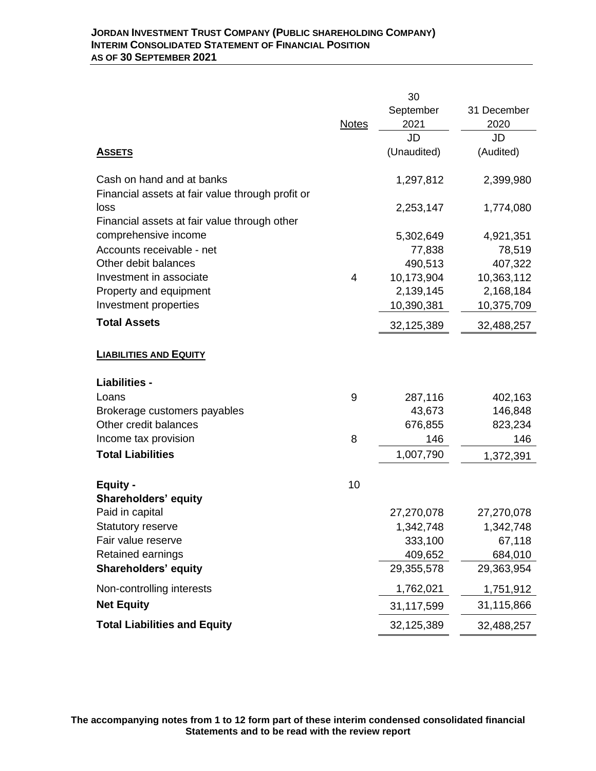|                                                                               |                | 30          |             |
|-------------------------------------------------------------------------------|----------------|-------------|-------------|
|                                                                               |                | September   | 31 December |
|                                                                               | <b>Notes</b>   | 2021        | 2020        |
|                                                                               |                | <b>JD</b>   | JD          |
| <u>ASSETS</u>                                                                 |                | (Unaudited) | (Audited)   |
| Cash on hand and at banks<br>Financial assets at fair value through profit or |                | 1,297,812   | 2,399,980   |
| loss<br>Financial assets at fair value through other                          |                | 2,253,147   | 1,774,080   |
| comprehensive income                                                          |                | 5,302,649   | 4,921,351   |
| Accounts receivable - net                                                     |                | 77,838      | 78,519      |
| Other debit balances                                                          |                | 490,513     | 407,322     |
| Investment in associate                                                       | $\overline{4}$ | 10,173,904  | 10,363,112  |
| Property and equipment                                                        |                | 2,139,145   | 2,168,184   |
| Investment properties                                                         |                | 10,390,381  | 10,375,709  |
| <b>Total Assets</b>                                                           |                | 32,125,389  | 32,488,257  |
| <b>LIABILITIES AND EQUITY</b>                                                 |                |             |             |
| Liabilities -                                                                 |                |             |             |
| Loans                                                                         | 9              | 287,116     | 402,163     |
| Brokerage customers payables                                                  |                | 43,673      | 146,848     |
| Other credit balances                                                         |                | 676,855     | 823,234     |
| Income tax provision                                                          | 8              | 146         | 146         |
| <b>Total Liabilities</b>                                                      |                | 1,007,790   | 1,372,391   |
| <b>Equity -</b>                                                               | 10             |             |             |
| <b>Shareholders' equity</b>                                                   |                |             |             |
| Paid in capital                                                               |                | 27,270,078  | 27,270,078  |
| Statutory reserve                                                             |                | 1,342,748   | 1,342,748   |
| Fair value reserve                                                            |                | 333,100     | 67,118      |
| Retained earnings                                                             |                | 409,652     | 684,010     |
| Shareholders' equity                                                          |                | 29,355,578  | 29,363,954  |
| Non-controlling interests                                                     |                | 1,762,021   | 1,751,912   |
| <b>Net Equity</b>                                                             |                | 31,117,599  | 31,115,866  |
| <b>Total Liabilities and Equity</b>                                           |                | 32,125,389  | 32,488,257  |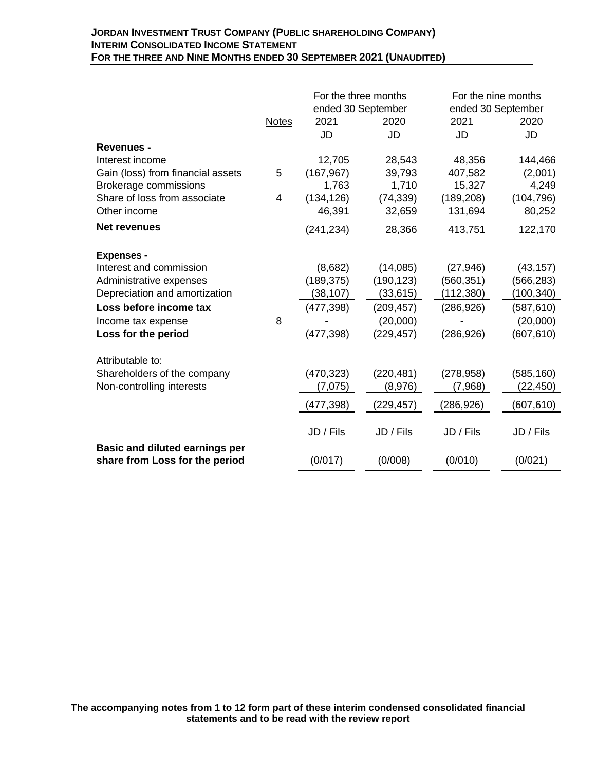## **JORDAN INVESTMENT TRUST COMPANY (PUBLIC SHAREHOLDING COMPANY) INTERIM CONSOLIDATED INCOME STATEMENT FOR THE THREE AND NINE MONTHS ENDED 30 SEPTEMBER 2021 (UNAUDITED)**

|                                                                         |                | For the three months<br>ended 30 September |            | For the nine months<br>ended 30 September |            |
|-------------------------------------------------------------------------|----------------|--------------------------------------------|------------|-------------------------------------------|------------|
|                                                                         | <b>Notes</b>   | 2021                                       | 2020       | 2021                                      | 2020       |
|                                                                         |                | JD                                         | JD         | JD                                        | JD         |
| <b>Revenues -</b>                                                       |                |                                            |            |                                           |            |
| Interest income                                                         |                | 12,705                                     | 28,543     | 48,356                                    | 144,466    |
| Gain (loss) from financial assets                                       | 5              | (167, 967)                                 | 39,793     | 407,582                                   | (2,001)    |
| <b>Brokerage commissions</b>                                            |                | 1,763                                      | 1,710      | 15,327                                    | 4,249      |
| Share of loss from associate                                            | $\overline{4}$ | (134, 126)                                 | (74, 339)  | (189, 208)                                | (104, 796) |
| Other income                                                            |                | 46,391                                     | 32,659     | 131,694                                   | 80,252     |
| <b>Net revenues</b>                                                     |                | (241, 234)                                 | 28,366     | 413,751                                   | 122,170    |
| <b>Expenses -</b>                                                       |                |                                            |            |                                           |            |
| Interest and commission                                                 |                | (8,682)                                    | (14,085)   | (27, 946)                                 | (43, 157)  |
| Administrative expenses                                                 |                | (189, 375)                                 | (190, 123) | (560, 351)                                | (566, 283) |
| Depreciation and amortization                                           |                | (38,107)                                   | (33, 615)  | (112,380)                                 | (100,340)  |
| Loss before income tax                                                  |                | (477, 398)                                 | (209, 457) | (286, 926)                                | (587, 610) |
| Income tax expense                                                      | 8              |                                            | (20,000)   |                                           | (20,000)   |
| Loss for the period                                                     |                | 477,398)                                   | (229, 457) | (286, 926)                                | (607, 610) |
| Attributable to:                                                        |                |                                            |            |                                           |            |
| Shareholders of the company                                             |                | (470, 323)                                 | (220, 481) | (278, 958)                                | (585, 160) |
| Non-controlling interests                                               |                | (7,075)                                    | (8,976)    | (7,968)                                   | (22,450)   |
|                                                                         |                | (477, 398)                                 | (229, 457) | (286, 926)                                | (607, 610) |
|                                                                         |                | JD / Fils                                  | JD / Fils  | JD / Fils                                 | JD / Fils  |
| <b>Basic and diluted earnings per</b><br>share from Loss for the period |                | (0/017)                                    | (0/008)    | (0/010)                                   | (0/021)    |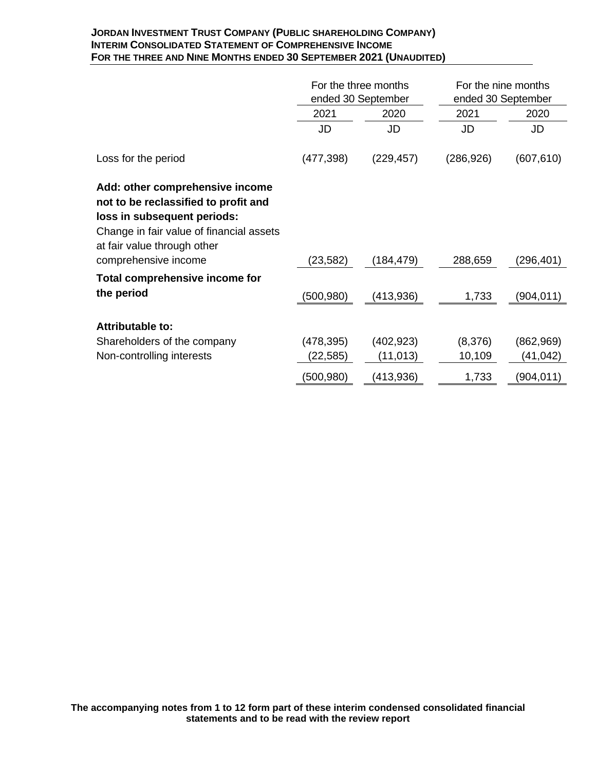## **JORDAN INVESTMENT TRUST COMPANY (PUBLIC SHAREHOLDING COMPANY) INTERIM CONSOLIDATED STATEMENT OF COMPREHENSIVE INCOME FOR THE THREE AND NINE MONTHS ENDED 30 SEPTEMBER 2021 (UNAUDITED)**

|                                                                                                                                                                                   | For the three months<br>ended 30 September |            | For the nine months<br>ended 30 September |            |  |
|-----------------------------------------------------------------------------------------------------------------------------------------------------------------------------------|--------------------------------------------|------------|-------------------------------------------|------------|--|
|                                                                                                                                                                                   | 2021                                       | 2020       | 2021                                      | 2020       |  |
|                                                                                                                                                                                   | JD                                         | JD         | JD                                        | JD         |  |
| Loss for the period                                                                                                                                                               | (477, 398)                                 | (229, 457) | (286, 926)                                | (607, 610) |  |
| Add: other comprehensive income<br>not to be reclassified to profit and<br>loss in subsequent periods:<br>Change in fair value of financial assets<br>at fair value through other |                                            |            |                                           |            |  |
| comprehensive income                                                                                                                                                              | (23, 582)                                  | (184, 479) | 288,659                                   | (296,401)  |  |
| Total comprehensive income for                                                                                                                                                    |                                            |            |                                           |            |  |
| the period                                                                                                                                                                        | (500, 980)                                 | (413,936)  | 1,733                                     | (904, 011) |  |
| <b>Attributable to:</b>                                                                                                                                                           |                                            |            |                                           |            |  |
| Shareholders of the company                                                                                                                                                       | (478, 395)                                 | (402, 923) | (8,376)                                   | (862,969)  |  |
| Non-controlling interests                                                                                                                                                         | (22,585)                                   | (11, 013)  | 10,109                                    | (41,042)   |  |
|                                                                                                                                                                                   | (500,980)                                  | (413,936)  | 1,733                                     | (904,011)  |  |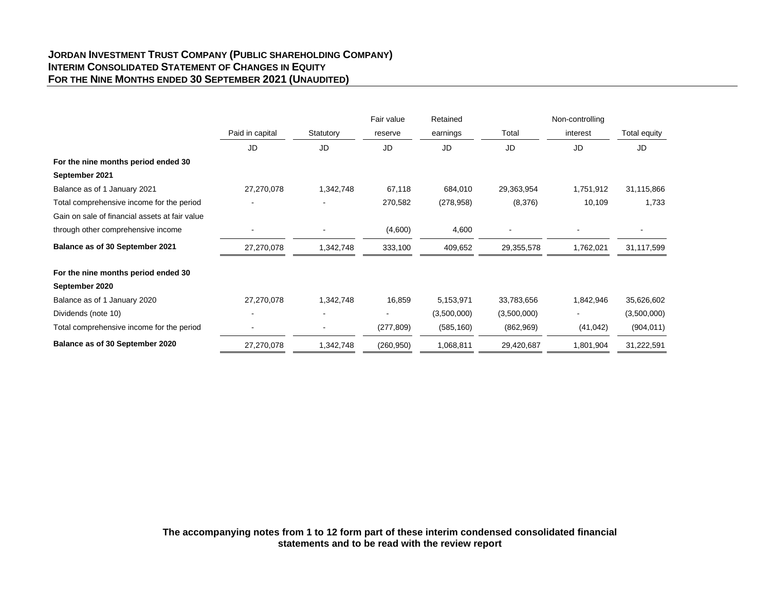### **JORDAN INVESTMENT TRUST COMPANY (PUBLIC SHAREHOLDING COMPANY) INTERIM CONSOLIDATED STATEMENT OF CHANGES IN EQUITY FOR THE NINE MONTHS ENDED 30 SEPTEMBER 2021 (UNAUDITED)**

|                                                |                 |           | Fair value | Retained    |             | Non-controlling |              |
|------------------------------------------------|-----------------|-----------|------------|-------------|-------------|-----------------|--------------|
|                                                | Paid in capital | Statutory | reserve    | earnings    | Total       | interest        | Total equity |
|                                                | JD              | JD        | JD         | JD          | JD          | JD              | JD           |
| For the nine months period ended 30            |                 |           |            |             |             |                 |              |
| September 2021                                 |                 |           |            |             |             |                 |              |
| Balance as of 1 January 2021                   | 27,270,078      | 1,342,748 | 67,118     | 684,010     | 29,363,954  | 1,751,912       | 31,115,866   |
| Total comprehensive income for the period      |                 |           | 270,582    | (278, 958)  | (8,376)     | 10,109          | 1,733        |
| Gain on sale of financial assets at fair value |                 |           |            |             |             |                 |              |
| through other comprehensive income             |                 |           | (4,600)    | 4,600       |             |                 |              |
| Balance as of 30 September 2021                | 27,270,078      | 1,342,748 | 333,100    | 409,652     | 29,355,578  | 1,762,021       | 31,117,599   |
| For the nine months period ended 30            |                 |           |            |             |             |                 |              |
| September 2020                                 |                 |           |            |             |             |                 |              |
| Balance as of 1 January 2020                   | 27,270,078      | 1,342,748 | 16,859     | 5,153,971   | 33,783,656  | 1,842,946       | 35,626,602   |
| Dividends (note 10)                            |                 |           |            | (3,500,000) | (3,500,000) |                 | (3,500,000)  |
| Total comprehensive income for the period      |                 |           | (277, 809) | (585, 160)  | (862,969)   | (41, 042)       | (904, 011)   |
| Balance as of 30 September 2020                | 27,270,078      | 1,342,748 | (260, 950) | 1,068,811   | 29,420,687  | 1,801,904       | 31,222,591   |

**The accompanying notes from 1 to 12 form part of these interim condensed consolidated financial statements and to be read with the review report**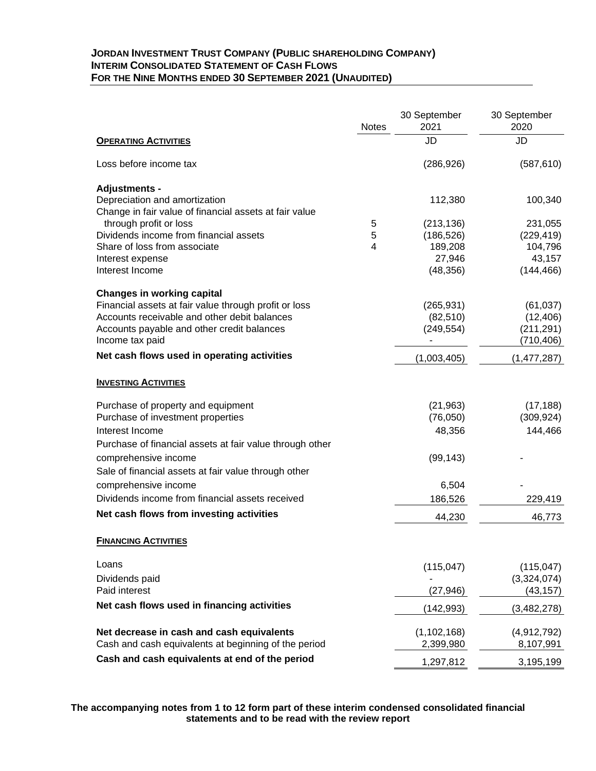#### **JORDAN INVESTMENT TRUST COMPANY (PUBLIC SHAREHOLDING COMPANY) INTERIM CONSOLIDATED STATEMENT OF CASH FLOWS FOR THE NINE MONTHS ENDED 30 SEPTEMBER 2021 (UNAUDITED)**

|                                                          | <b>Notes</b> | 30 September<br>2021 | 30 September<br>2020     |
|----------------------------------------------------------|--------------|----------------------|--------------------------|
| <b>OPERATING ACTIVITIES</b>                              |              | JD                   | JD                       |
| Loss before income tax                                   |              | (286, 926)           | (587, 610)               |
| <b>Adjustments -</b>                                     |              |                      |                          |
| Depreciation and amortization                            |              | 112,380              | 100,340                  |
| Change in fair value of financial assets at fair value   |              |                      |                          |
| through profit or loss                                   | 5            | (213, 136)           | 231,055                  |
| Dividends income from financial assets                   | 5            | (186, 526)           | (229, 419)               |
| Share of loss from associate                             | 4            | 189,208              | 104,796                  |
| Interest expense                                         |              | 27,946               | 43,157                   |
| Interest Income                                          |              | (48, 356)            | (144, 466)               |
| <b>Changes in working capital</b>                        |              |                      |                          |
| Financial assets at fair value through profit or loss    |              | (265, 931)           | (61, 037)                |
| Accounts receivable and other debit balances             |              | (82, 510)            | (12, 406)                |
| Accounts payable and other credit balances               |              | (249, 554)           | (211, 291)               |
| Income tax paid                                          |              |                      | (710, 406)               |
| Net cash flows used in operating activities              |              | (1,003,405)          | (1,477,287)              |
| <b>INVESTING ACTIVITIES</b>                              |              |                      |                          |
| Purchase of property and equipment                       |              | (21, 963)            | (17, 188)                |
| Purchase of investment properties                        |              | (76,050)             | (309, 924)               |
| Interest Income                                          |              | 48,356               | 144,466                  |
| Purchase of financial assets at fair value through other |              |                      |                          |
| comprehensive income                                     |              | (99, 143)            |                          |
| Sale of financial assets at fair value through other     |              |                      |                          |
| comprehensive income                                     |              |                      |                          |
|                                                          |              | 6,504                |                          |
| Dividends income from financial assets received          |              | 186,526              | 229,419                  |
| Net cash flows from investing activities                 |              | 44,230               | 46,773                   |
| <b>FINANCING ACTIVITIES</b>                              |              |                      |                          |
| Loans                                                    |              | (115, 047)           | (115, 047)               |
| Dividends paid                                           |              |                      | (3,324,074)              |
| Paid interest                                            |              | (27, 946)            | (43, 157)                |
| Net cash flows used in financing activities              |              | (142, 993)           | (3,482,278)              |
| Net decrease in cash and cash equivalents                |              | (1, 102, 168)        |                          |
| Cash and cash equivalents at beginning of the period     |              | 2,399,980            | (4,912,792)<br>8,107,991 |
|                                                          |              |                      |                          |
| Cash and cash equivalents at end of the period           |              | 1,297,812            | 3,195,199                |

**The accompanying notes from 1 to 12 form part of these interim condensed consolidated financial statements and to be read with the review report**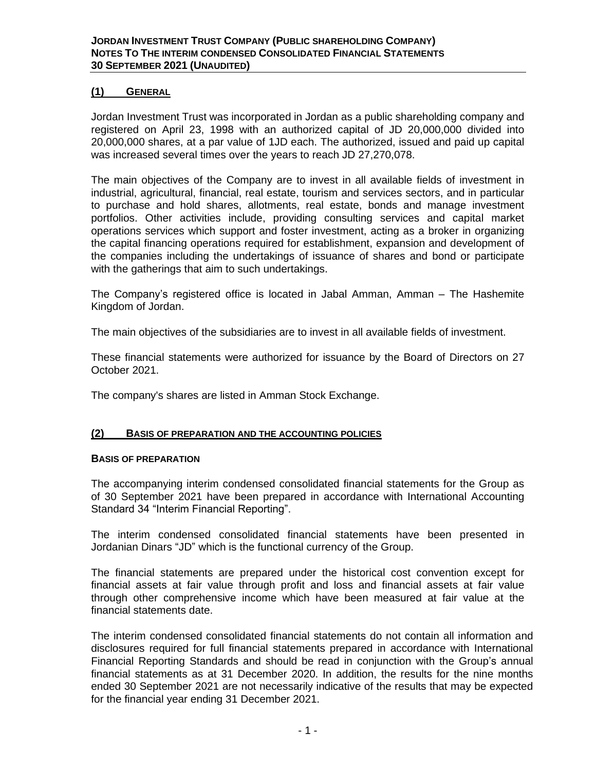## **(1) GENERAL**

Jordan Investment Trust was incorporated in Jordan as a public shareholding company and registered on April 23, 1998 with an authorized capital of JD 20,000,000 divided into 20,000,000 shares, at a par value of 1JD each. The authorized, issued and paid up capital was increased several times over the years to reach JD 27,270,078.

The main objectives of the Company are to invest in all available fields of investment in industrial, agricultural, financial, real estate, tourism and services sectors, and in particular to purchase and hold shares, allotments, real estate, bonds and manage investment portfolios. Other activities include, providing consulting services and capital market operations services which support and foster investment, acting as a broker in organizing the capital financing operations required for establishment, expansion and development of the companies including the undertakings of issuance of shares and bond or participate with the gatherings that aim to such undertakings.

The Company's registered office is located in Jabal Amman, Amman – The Hashemite Kingdom of Jordan.

The main objectives of the subsidiaries are to invest in all available fields of investment.

These financial statements were authorized for issuance by the Board of Directors on 27 October 2021.

The company's shares are listed in Amman Stock Exchange.

## **(2) BASIS OF PREPARATION AND THE ACCOUNTING POLICIES**

#### **BASIS OF PREPARATION**

The accompanying interim condensed consolidated financial statements for the Group as of 30 September 2021 have been prepared in accordance with International Accounting Standard 34 "Interim Financial Reporting".

The interim condensed consolidated financial statements have been presented in Jordanian Dinars "JD" which is the functional currency of the Group.

The financial statements are prepared under the historical cost convention except for financial assets at fair value through profit and loss and financial assets at fair value through other comprehensive income which have been measured at fair value at the financial statements date.

The interim condensed consolidated financial statements do not contain all information and disclosures required for full financial statements prepared in accordance with International Financial Reporting Standards and should be read in conjunction with the Group's annual financial statements as at 31 December 2020. In addition, the results for the nine months ended 30 September 2021 are not necessarily indicative of the results that may be expected for the financial year ending 31 December 2021.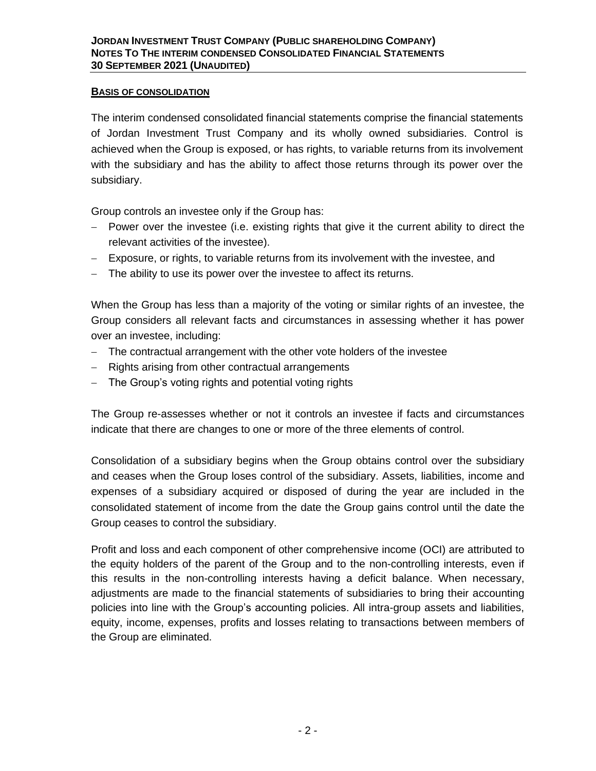### **BASIS OF CONSOLIDATION**

The interim condensed consolidated financial statements comprise the financial statements of Jordan Investment Trust Company and its wholly owned subsidiaries. Control is achieved when the Group is exposed, or has rights, to variable returns from its involvement with the subsidiary and has the ability to affect those returns through its power over the subsidiary.

Group controls an investee only if the Group has:

- − Power over the investee (i.e. existing rights that give it the current ability to direct the relevant activities of the investee).
- − Exposure, or rights, to variable returns from its involvement with the investee, and
- − The ability to use its power over the investee to affect its returns.

When the Group has less than a majority of the voting or similar rights of an investee, the Group considers all relevant facts and circumstances in assessing whether it has power over an investee, including:

- − The contractual arrangement with the other vote holders of the investee
- − Rights arising from other contractual arrangements
- − The Group's voting rights and potential voting rights

The Group re-assesses whether or not it controls an investee if facts and circumstances indicate that there are changes to one or more of the three elements of control.

Consolidation of a subsidiary begins when the Group obtains control over the subsidiary and ceases when the Group loses control of the subsidiary. Assets, liabilities, income and expenses of a subsidiary acquired or disposed of during the year are included in the consolidated statement of income from the date the Group gains control until the date the Group ceases to control the subsidiary.

Profit and loss and each component of other comprehensive income (OCI) are attributed to the equity holders of the parent of the Group and to the non-controlling interests, even if this results in the non-controlling interests having a deficit balance. When necessary, adjustments are made to the financial statements of subsidiaries to bring their accounting policies into line with the Group's accounting policies. All intra-group assets and liabilities, equity, income, expenses, profits and losses relating to transactions between members of the Group are eliminated.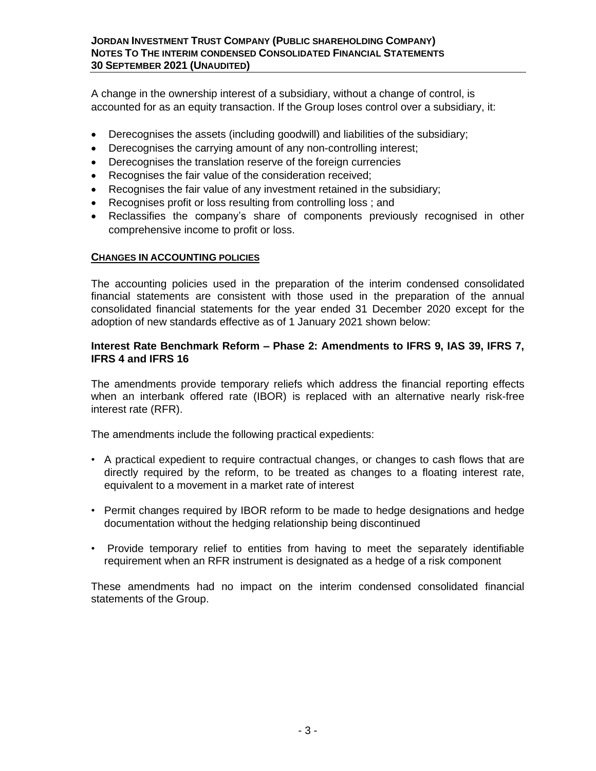A change in the ownership interest of a subsidiary, without a change of control, is accounted for as an equity transaction. If the Group loses control over a subsidiary, it:

- Derecognises the assets (including goodwill) and liabilities of the subsidiary;
- Derecognises the carrying amount of any non-controlling interest;
- Derecognises the translation reserve of the foreign currencies
- Recognises the fair value of the consideration received;
- Recognises the fair value of any investment retained in the subsidiary;
- Recognises profit or loss resulting from controlling loss ; and
- Reclassifies the company's share of components previously recognised in other comprehensive income to profit or loss.

### **CHANGES IN ACCOUNTING POLICIES**

The accounting policies used in the preparation of the interim condensed consolidated financial statements are consistent with those used in the preparation of the annual consolidated financial statements for the year ended 31 December 2020 except for the adoption of new standards effective as of 1 January 2021 shown below:

## **Interest Rate Benchmark Reform – Phase 2: Amendments to IFRS 9, IAS 39, IFRS 7, IFRS 4 and IFRS 16**

The amendments provide temporary reliefs which address the financial reporting effects when an interbank offered rate (IBOR) is replaced with an alternative nearly risk-free interest rate (RFR).

The amendments include the following practical expedients:

- A practical expedient to require contractual changes, or changes to cash flows that are directly required by the reform, to be treated as changes to a floating interest rate, equivalent to a movement in a market rate of interest
- Permit changes required by IBOR reform to be made to hedge designations and hedge documentation without the hedging relationship being discontinued
- Provide temporary relief to entities from having to meet the separately identifiable requirement when an RFR instrument is designated as a hedge of a risk component

These amendments had no impact on the interim condensed consolidated financial statements of the Group.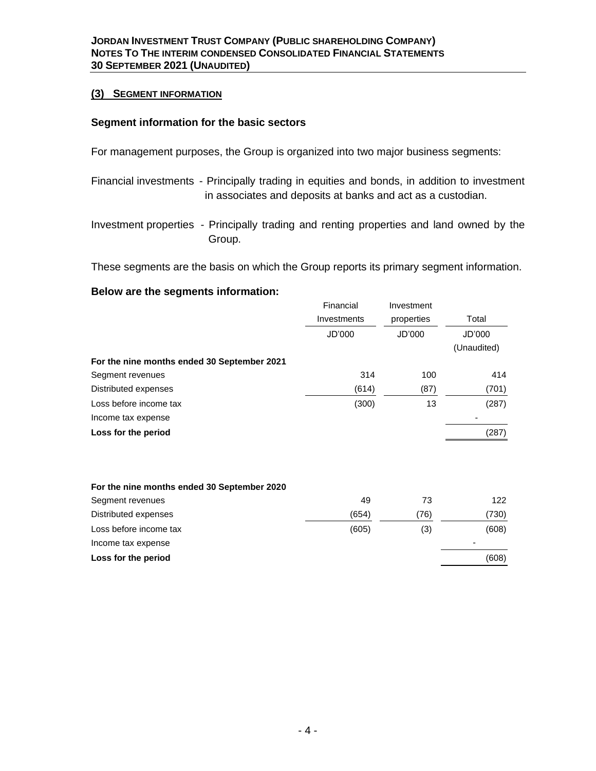#### **(3) SEGMENT INFORMATION**

## **Segment information for the basic sectors**

For management purposes, the Group is organized into two major business segments:

- Financial investments Principally trading in equities and bonds, in addition to investment in associates and deposits at banks and act as a custodian.
- Investment properties Principally trading and renting properties and land owned by the Group.

These segments are the basis on which the Group reports its primary segment information.

### **Below are the segments information:**

|                                             | Financial   | Investment |             |
|---------------------------------------------|-------------|------------|-------------|
|                                             | Investments | properties | Total       |
|                                             | JD'000      | JD'000     | JD'000      |
|                                             |             |            | (Unaudited) |
| For the nine months ended 30 September 2021 |             |            |             |
| Segment revenues                            | 314         | 100        | 414         |
| Distributed expenses                        | (614)       | (87)       | (701)       |
| Loss before income tax                      | (300)       | 13         | (287)       |
| Income tax expense                          |             |            |             |
| Loss for the period                         |             |            | (287)       |
| For the nine months ended 30 September 2020 |             |            |             |
| Segment revenues                            | 49          | 73         | 122         |
| Distributed expenses                        | (654)       | (76)       | (730)       |
| Loss before income tax                      | (605)       | (3)        | (608)       |
| Income tax expense                          |             |            |             |
| Loss for the period                         |             |            | (608)       |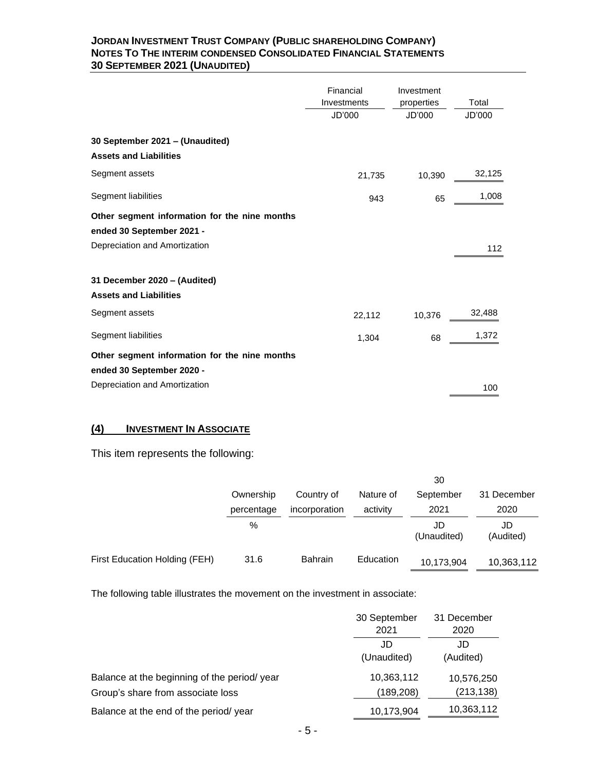## **JORDAN INVESTMENT TRUST COMPANY (PUBLIC SHAREHOLDING COMPANY) NOTES TO THE INTERIM CONDENSED CONSOLIDATED FINANCIAL STATEMENTS 30 SEPTEMBER 2021 (UNAUDITED)**

|                                                                            | Financial<br>Investments<br>JD'000 | Investment<br>properties<br>JD'000 | Total<br>JD'000 |
|----------------------------------------------------------------------------|------------------------------------|------------------------------------|-----------------|
| 30 September 2021 - (Unaudited)                                            |                                    |                                    |                 |
| <b>Assets and Liabilities</b>                                              |                                    |                                    |                 |
| Segment assets                                                             | 21,735                             | 10,390                             | 32,125          |
| Segment liabilities                                                        | 943                                | 65                                 | 1,008           |
| Other segment information for the nine months<br>ended 30 September 2021 - |                                    |                                    |                 |
| Depreciation and Amortization                                              |                                    |                                    | 112             |
| 31 December 2020 - (Audited)                                               |                                    |                                    |                 |
| <b>Assets and Liabilities</b>                                              |                                    |                                    |                 |
| Segment assets                                                             | 22,112                             | 10,376                             | 32,488          |
| Segment liabilities                                                        | 1,304                              | 68                                 | 1,372           |
| Other segment information for the nine months<br>ended 30 September 2020 - |                                    |                                    |                 |
| Depreciation and Amortization                                              |                                    |                                    | 100             |

## **(4) INVESTMENT IN ASSOCIATE**

This item represents the following:

|                               |            |                |           | 30                |                 |
|-------------------------------|------------|----------------|-----------|-------------------|-----------------|
|                               | Ownership  | Country of     | Nature of | September         | 31 December     |
|                               | percentage | incorporation  | activity  | 2021              | 2020            |
|                               | %          |                |           | JD<br>(Unaudited) | JD<br>(Audited) |
| First Education Holding (FEH) | 31.6       | <b>Bahrain</b> | Education | 10,173,904        | 10,363,112      |

The following table illustrates the movement on the investment in associate:

|                                                                                  | 30 September<br>2021    | 31 December<br>2020      |
|----------------------------------------------------------------------------------|-------------------------|--------------------------|
|                                                                                  | JD.<br>(Unaudited)      | JD<br>(Audited)          |
| Balance at the beginning of the period/year<br>Group's share from associate loss | 10,363,112<br>(189,208) | 10,576,250<br>(213, 138) |
| Balance at the end of the period/ year                                           | 10,173,904              | 10,363,112               |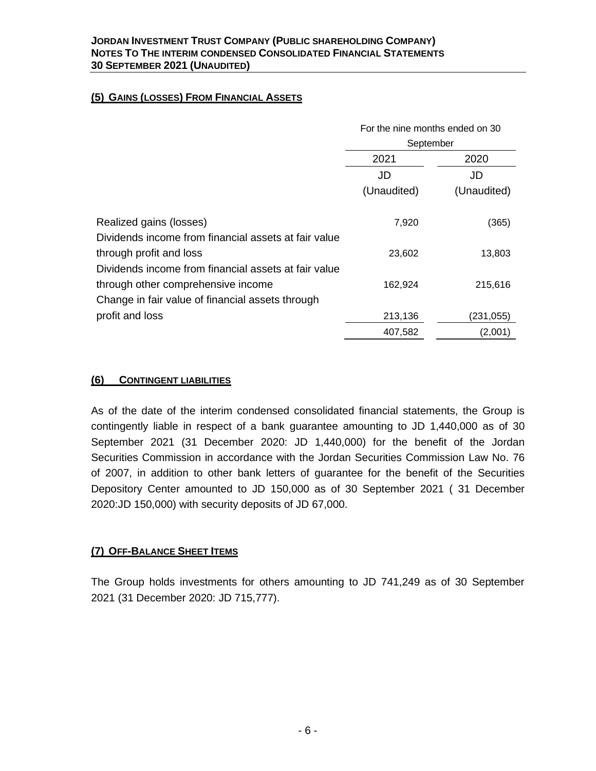# **(5) GAINS (LOSSES) FROM FINANCIAL ASSETS**

|                                                      | For the nine months ended on 30 |             |  |
|------------------------------------------------------|---------------------------------|-------------|--|
|                                                      | September                       |             |  |
|                                                      | 2021<br>2020                    |             |  |
|                                                      | JD<br>JD                        |             |  |
|                                                      | (Unaudited)                     | (Unaudited) |  |
| Realized gains (losses)                              | 7,920                           | (365)       |  |
| Dividends income from financial assets at fair value |                                 |             |  |
| through profit and loss                              | 23,602                          | 13,803      |  |
| Dividends income from financial assets at fair value |                                 |             |  |
| through other comprehensive income                   | 162,924                         | 215,616     |  |
| Change in fair value of financial assets through     |                                 |             |  |
| profit and loss                                      | 213,136                         | (231,055)   |  |
|                                                      | 407,582                         | (2,001)     |  |

## **(6) CONTINGENT LIABILITIES**

As of the date of the interim condensed consolidated financial statements, the Group is contingently liable in respect of a bank guarantee amounting to JD 1,440,000 as of 30 September 2021 (31 December 2020: JD 1,440,000) for the benefit of the Jordan Securities Commission in accordance with the Jordan Securities Commission Law No. 76 of 2007, in addition to other bank letters of guarantee for the benefit of the Securities Depository Center amounted to JD 150,000 as of 30 September 2021 ( 31 December 2020:JD 150,000) with security deposits of JD 67,000.

## **(7) OFF-BALANCE SHEET ITEMS**

The Group holds investments for others amounting to JD 741,249 as of 30 September 2021 (31 December 2020: JD 715,777).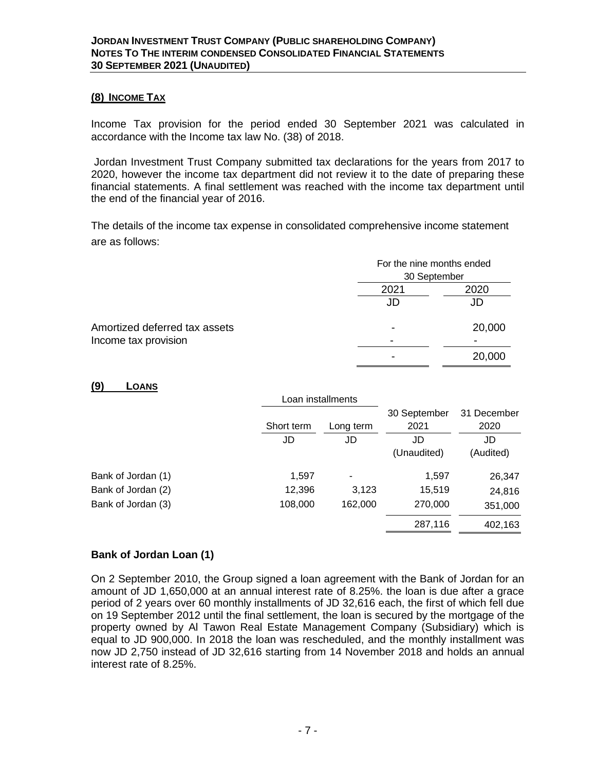## **(8) INCOME TAX**

Income Tax provision for the period ended 30 September 2021 was calculated in accordance with the Income tax law No. (38) of 2018.

Jordan Investment Trust Company submitted tax declarations for the years from 2017 to 2020, however the income tax department did not review it to the date of preparing these financial statements. A final settlement was reached with the income tax department until the end of the financial year of 2016.

The details of the income tax expense in consolidated comprehensive income statement are as follows:

|                                                       |              | For the nine months ended |  |  |
|-------------------------------------------------------|--------------|---------------------------|--|--|
|                                                       | 30 September |                           |  |  |
|                                                       | 2021         | 2020                      |  |  |
|                                                       | JL           | JD                        |  |  |
| Amortized deferred tax assets<br>Income tax provision | -            | 20,000                    |  |  |
|                                                       |              |                           |  |  |
|                                                       |              | 20,000                    |  |  |

#### **(9) LOANS**

|                    |            | Loan installments |              |             |
|--------------------|------------|-------------------|--------------|-------------|
|                    |            |                   | 30 September | 31 December |
|                    | Short term | Long term         | 2021         | 2020        |
|                    | JD         | JD                | JD           | JD          |
|                    |            |                   | (Unaudited)  | (Audited)   |
| Bank of Jordan (1) | 1,597      | ۰                 | 1,597        | 26,347      |
| Bank of Jordan (2) | 12,396     | 3,123             | 15,519       | 24,816      |
| Bank of Jordan (3) | 108,000    | 162,000           | 270,000      | 351,000     |
|                    |            |                   | 287,116      | 402,163     |

#### **Bank of Jordan Loan (1)**

On 2 September 2010, the Group signed a loan agreement with the Bank of Jordan for an amount of JD 1,650,000 at an annual interest rate of 8.25%. the loan is due after a grace period of 2 years over 60 monthly installments of JD 32,616 each, the first of which fell due on 19 September 2012 until the final settlement, the loan is secured by the mortgage of the property owned by Al Tawon Real Estate Management Company (Subsidiary) which is equal to JD 900,000. In 2018 the loan was rescheduled, and the monthly installment was now JD 2,750 instead of JD 32,616 starting from 14 November 2018 and holds an annual interest rate of 8.25%.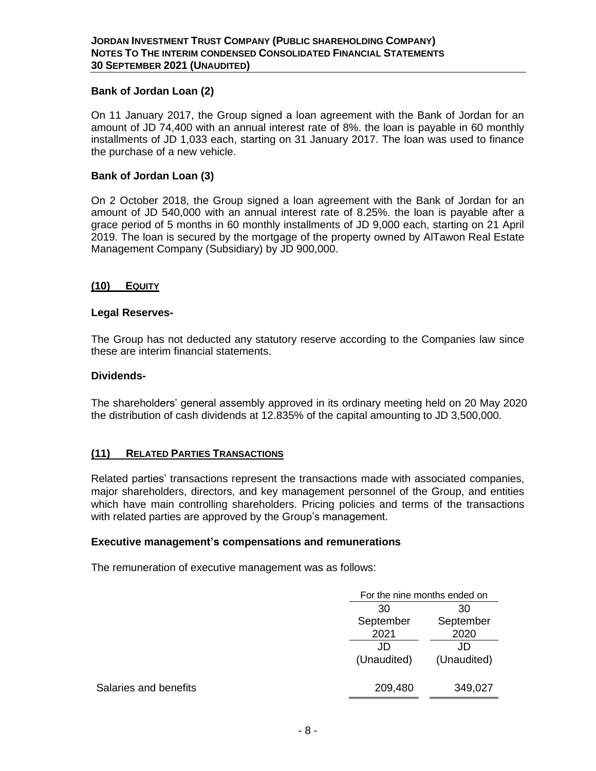## **Bank of Jordan Loan (2)**

On 11 January 2017, the Group signed a loan agreement with the Bank of Jordan for an amount of JD 74,400 with an annual interest rate of 8%. the loan is payable in 60 monthly installments of JD 1,033 each, starting on 31 January 2017. The loan was used to finance the purchase of a new vehicle.

### **Bank of Jordan Loan (3)**

On 2 October 2018, the Group signed a loan agreement with the Bank of Jordan for an amount of JD 540,000 with an annual interest rate of 8.25%. the loan is payable after a grace period of 5 months in 60 monthly installments of JD 9,000 each, starting on 21 April 2019. The loan is secured by the mortgage of the property owned by AlTawon Real Estate Management Company (Subsidiary) by JD 900,000.

### **(10) EQUITY**

#### **Legal Reserves-**

The Group has not deducted any statutory reserve according to the Companies law since these are interim financial statements.

#### **Dividends-**

The shareholders' general assembly approved in its ordinary meeting held on 20 May 2020 the distribution of cash dividends at 12.835% of the capital amounting to JD 3,500,000.

## **(11) RELATED PARTIES TRANSACTIONS**

Related parties' transactions represent the transactions made with associated companies, major shareholders, directors, and key management personnel of the Group, and entities which have main controlling shareholders. Pricing policies and terms of the transactions with related parties are approved by the Group's management.

#### **Executive management's compensations and remunerations**

The remuneration of executive management was as follows:

|                       |             | For the nine months ended on |  |  |
|-----------------------|-------------|------------------------------|--|--|
|                       | 30          | 30                           |  |  |
|                       | September   | September                    |  |  |
|                       | 2021        | 2020                         |  |  |
|                       | JD          | JD                           |  |  |
|                       | (Unaudited) | (Unaudited)                  |  |  |
| Salaries and benefits | 209,480     | 349,027                      |  |  |